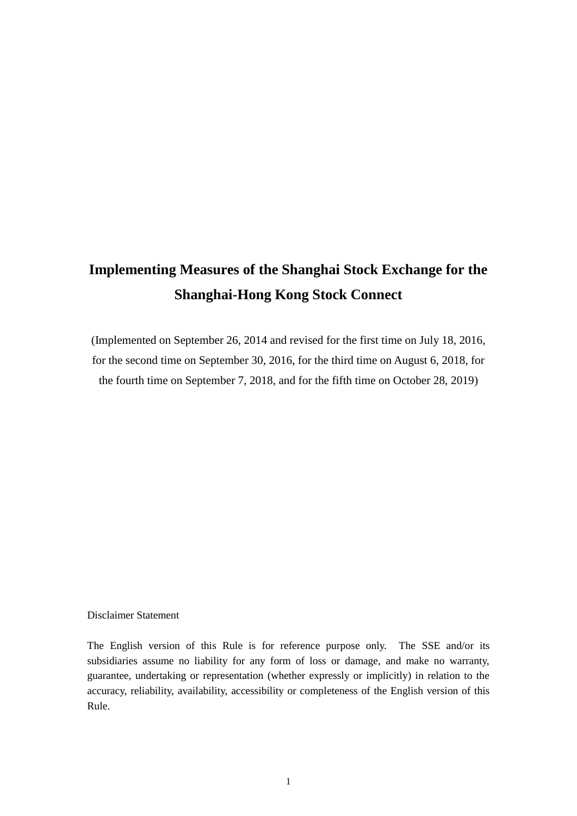# **Implementing Measures of the Shanghai Stock Exchange for the Shanghai-Hong Kong Stock Connect**

(Implemented on September 26, 2014 and revised for the first time on July 18, 2016, for the second time on September 30, 2016, for the third time on August 6, 2018, for the fourth time on September 7, 2018, and for the fifth time on October 28, 2019)

#### Disclaimer Statement

The English version of this Rule is for reference purpose only. The SSE and/or its subsidiaries assume no liability for any form of loss or damage, and make no warranty, guarantee, undertaking or representation (whether expressly or implicitly) in relation to the accuracy, reliability, availability, accessibility or completeness of the English version of this Rule.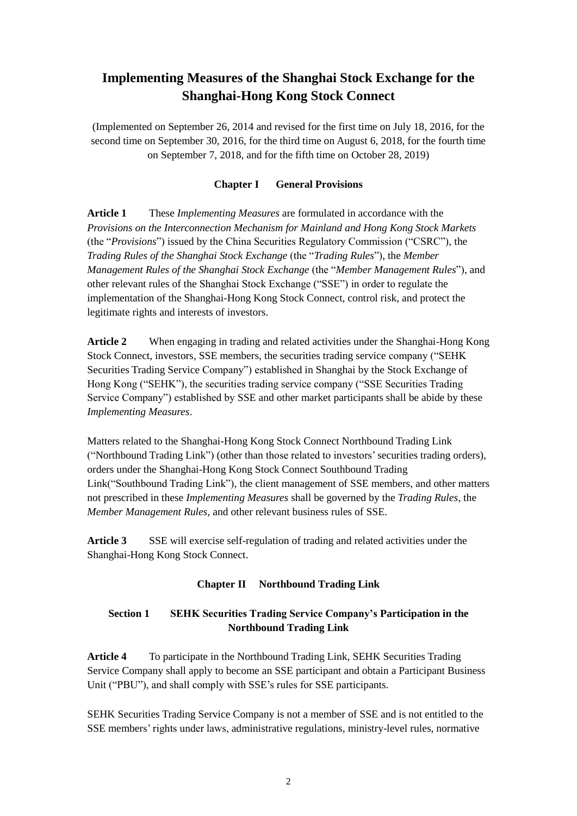# **Implementing Measures of the Shanghai Stock Exchange for the Shanghai-Hong Kong Stock Connect**

(Implemented on September 26, 2014 and revised for the first time on July 18, 2016, for the second time on September 30, 2016, for the third time on August 6, 2018, for the fourth time on September 7, 2018, and for the fifth time on October 28, 2019)

# **Chapter I General Provisions**

**Article 1** These *Implementing Measures* are formulated in accordance with the *Provisions on the Interconnection Mechanism for Mainland and Hong Kong Stock Markets*  (the "*Provisions*") issued by the China Securities Regulatory Commission ("CSRC"), the *Trading Rules of the Shanghai Stock Exchange* (the "*Trading Rules*"), the *Member Management Rules of the Shanghai Stock Exchange* (the "*Member Management Rules*"), and other relevant rules of the Shanghai Stock Exchange ("SSE") in order to regulate the implementation of the Shanghai-Hong Kong Stock Connect, control risk, and protect the legitimate rights and interests of investors.

**Article 2** When engaging in trading and related activities under the Shanghai-Hong Kong Stock Connect, investors, SSE members, the securities trading service company ("SEHK Securities Trading Service Company") established in Shanghai by the Stock Exchange of Hong Kong ("SEHK"), the securities trading service company ("SSE Securities Trading Service Company") established by SSE and other market participants shall be abide by these *Implementing Measures*.

Matters related to the Shanghai-Hong Kong Stock Connect Northbound Trading Link ("Northbound Trading Link") (other than those related to investors' securities trading orders), orders under the Shanghai-Hong Kong Stock Connect Southbound Trading Link("Southbound Trading Link"), the client management of SSE members, and other matters not prescribed in these *Implementing Measures* shall be governed by the *Trading Rules*, the *Member Management Rules*, and other relevant business rules of SSE.

**Article 3** SSE will exercise self-regulation of trading and related activities under the Shanghai-Hong Kong Stock Connect.

# **Chapter II Northbound Trading Link**

# **Section 1 SEHK Securities Trading Service Company's Participation in the Northbound Trading Link**

**Article 4** To participate in the Northbound Trading Link, SEHK Securities Trading Service Company shall apply to become an SSE participant and obtain a Participant Business Unit ("PBU"), and shall comply with SSE's rules for SSE participants.

SEHK Securities Trading Service Company is not a member of SSE and is not entitled to the SSE members' rights under laws, administrative regulations, ministry-level rules, normative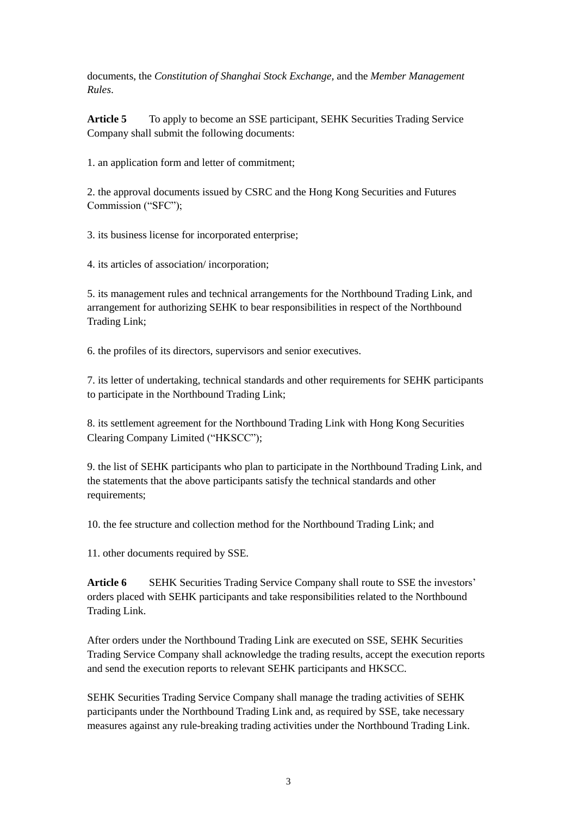documents, the *Constitution of Shanghai Stock Exchange,* and the *Member Management Rules*.

**Article 5** To apply to become an SSE participant, SEHK Securities Trading Service Company shall submit the following documents:

1. an application form and letter of commitment;

2. the approval documents issued by CSRC and the Hong Kong Securities and Futures Commission ("SFC");

3. its business license for incorporated enterprise;

4. its articles of association/ incorporation;

5. its management rules and technical arrangements for the Northbound Trading Link, and arrangement for authorizing SEHK to bear responsibilities in respect of the Northbound Trading Link;

6. the profiles of its directors, supervisors and senior executives.

7. its letter of undertaking, technical standards and other requirements for SEHK participants to participate in the Northbound Trading Link;

8. its settlement agreement for the Northbound Trading Link with Hong Kong Securities Clearing Company Limited ("HKSCC");

9. the list of SEHK participants who plan to participate in the Northbound Trading Link, and the statements that the above participants satisfy the technical standards and other requirements;

10. the fee structure and collection method for the Northbound Trading Link; and

11. other documents required by SSE.

**Article 6** SEHK Securities Trading Service Company shall route to SSE the investors' orders placed with SEHK participants and take responsibilities related to the Northbound Trading Link.

After orders under the Northbound Trading Link are executed on SSE, SEHK Securities Trading Service Company shall acknowledge the trading results, accept the execution reports and send the execution reports to relevant SEHK participants and HKSCC.

SEHK Securities Trading Service Company shall manage the trading activities of SEHK participants under the Northbound Trading Link and, as required by SSE, take necessary measures against any rule-breaking trading activities under the Northbound Trading Link.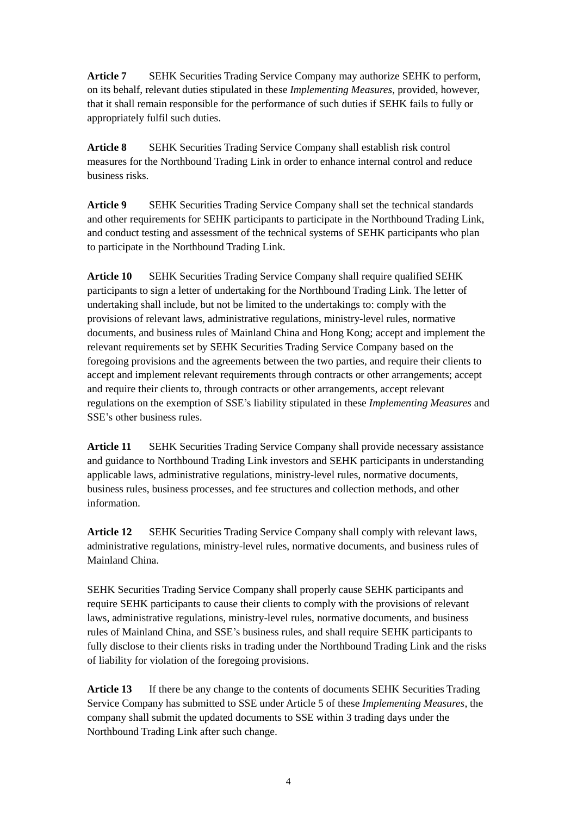**Article 7** SEHK Securities Trading Service Company may authorize SEHK to perform, on its behalf, relevant duties stipulated in these *Implementing Measures*, provided, however, that it shall remain responsible for the performance of such duties if SEHK fails to fully or appropriately fulfil such duties.

**Article 8** SEHK Securities Trading Service Company shall establish risk control measures for the Northbound Trading Link in order to enhance internal control and reduce business risks.

**Article 9** SEHK Securities Trading Service Company shall set the technical standards and other requirements for SEHK participants to participate in the Northbound Trading Link, and conduct testing and assessment of the technical systems of SEHK participants who plan to participate in the Northbound Trading Link.

**Article 10** SEHK Securities Trading Service Company shall require qualified SEHK participants to sign a letter of undertaking for the Northbound Trading Link. The letter of undertaking shall include, but not be limited to the undertakings to: comply with the provisions of relevant laws, administrative regulations, ministry-level rules, normative documents, and business rules of Mainland China and Hong Kong; accept and implement the relevant requirements set by SEHK Securities Trading Service Company based on the foregoing provisions and the agreements between the two parties, and require their clients to accept and implement relevant requirements through contracts or other arrangements; accept and require their clients to, through contracts or other arrangements, accept relevant regulations on the exemption of SSE's liability stipulated in these *Implementing Measures* and SSE's other business rules.

**Article 11** SEHK Securities Trading Service Company shall provide necessary assistance and guidance to Northbound Trading Link investors and SEHK participants in understanding applicable laws, administrative regulations, ministry-level rules, normative documents, business rules, business processes, and fee structures and collection methods, and other information.

**Article 12** SEHK Securities Trading Service Company shall comply with relevant laws, administrative regulations, ministry-level rules, normative documents, and business rules of Mainland China.

SEHK Securities Trading Service Company shall properly cause SEHK participants and require SEHK participants to cause their clients to comply with the provisions of relevant laws, administrative regulations, ministry-level rules, normative documents, and business rules of Mainland China, and SSE's business rules, and shall require SEHK participants to fully disclose to their clients risks in trading under the Northbound Trading Link and the risks of liability for violation of the foregoing provisions.

Article 13 If there be any change to the contents of documents SEHK Securities Trading Service Company has submitted to SSE under Article 5 of these *Implementing Measures*, the company shall submit the updated documents to SSE within 3 trading days under the Northbound Trading Link after such change.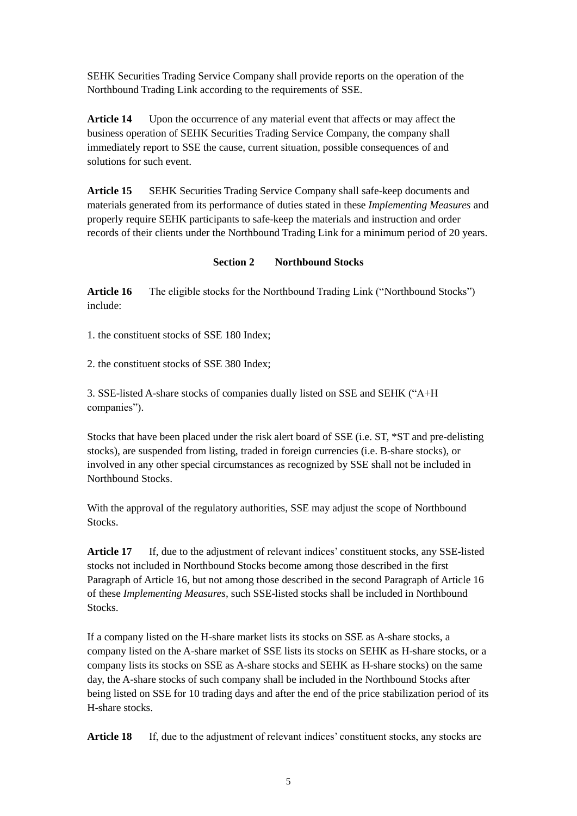SEHK Securities Trading Service Company shall provide reports on the operation of the Northbound Trading Link according to the requirements of SSE.

**Article 14** Upon the occurrence of any material event that affects or may affect the business operation of SEHK Securities Trading Service Company, the company shall immediately report to SSE the cause, current situation, possible consequences of and solutions for such event.

**Article 15** SEHK Securities Trading Service Company shall safe-keep documents and materials generated from its performance of duties stated in these *Implementing Measures* and properly require SEHK participants to safe-keep the materials and instruction and order records of their clients under the Northbound Trading Link for a minimum period of 20 years.

# **Section 2 Northbound Stocks**

Article 16 The eligible stocks for the Northbound Trading Link ("Northbound Stocks") include:

1. the constituent stocks of SSE 180 Index;

2. the constituent stocks of SSE 380 Index;

3. SSE-listed A-share stocks of companies dually listed on SSE and SEHK ("A+H companies").

Stocks that have been placed under the risk alert board of SSE (i.e. ST, \*ST and pre-delisting stocks), are suspended from listing, traded in foreign currencies (i.e. B-share stocks), or involved in any other special circumstances as recognized by SSE shall not be included in Northbound Stocks.

With the approval of the regulatory authorities, SSE may adjust the scope of Northbound Stocks.

**Article 17** If, due to the adjustment of relevant indices' constituent stocks, any SSE-listed stocks not included in Northbound Stocks become among those described in the first Paragraph of Article 16, but not among those described in the second Paragraph of Article 16 of these *Implementing Measures,* such SSE-listed stocks shall be included in Northbound **Stocks** 

If a company listed on the H-share market lists its stocks on SSE as A-share stocks, a company listed on the A-share market of SSE lists its stocks on SEHK as H-share stocks, or a company lists its stocks on SSE as A-share stocks and SEHK as H-share stocks) on the same day, the A-share stocks of such company shall be included in the Northbound Stocks after being listed on SSE for 10 trading days and after the end of the price stabilization period of its H-share stocks.

Article 18 If, due to the adjustment of relevant indices' constituent stocks, any stocks are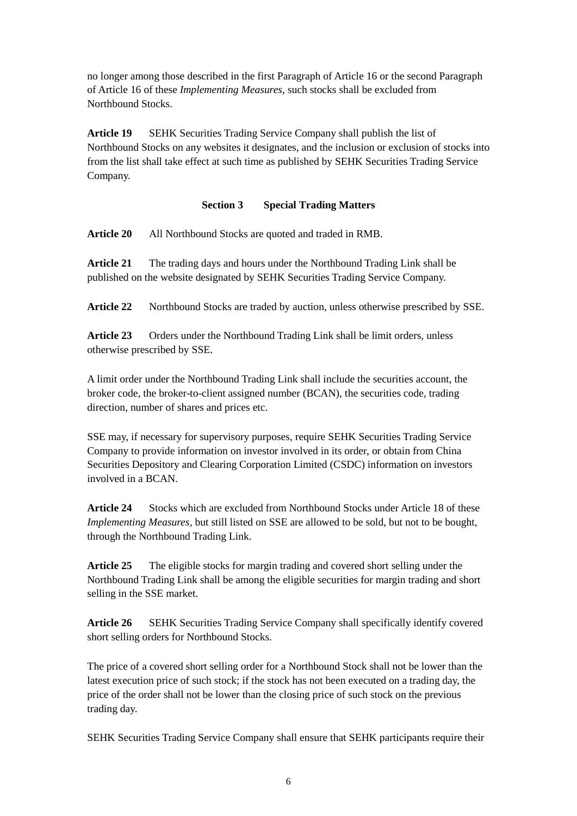no longer among those described in the first Paragraph of Article 16 or the second Paragraph of Article 16 of these *Implementing Measures,* such stocks shall be excluded from Northbound Stocks.

**Article 19** SEHK Securities Trading Service Company shall publish the list of Northbound Stocks on any websites it designates, and the inclusion or exclusion of stocks into from the list shall take effect at such time as published by SEHK Securities Trading Service Company.

#### **Section 3 Special Trading Matters**

**Article 20** All Northbound Stocks are quoted and traded in RMB.

**Article 21** The trading days and hours under the Northbound Trading Link shall be published on the website designated by SEHK Securities Trading Service Company.

Article 22 Northbound Stocks are traded by auction, unless otherwise prescribed by SSE.

**Article 23** Orders under the Northbound Trading Link shall be limit orders, unless otherwise prescribed by SSE.

A limit order under the Northbound Trading Link shall include the securities account, the broker code, the broker-to-client assigned number (BCAN), the securities code, trading direction, number of shares and prices etc.

SSE may, if necessary for supervisory purposes, require SEHK Securities Trading Service Company to provide information on investor involved in its order, or obtain from China Securities Depository and Clearing Corporation Limited (CSDC) information on investors involved in a BCAN.

**Article 24** Stocks which are excluded from Northbound Stocks under Article 18 of these *Implementing Measures,* but still listed on SSE are allowed to be sold, but not to be bought, through the Northbound Trading Link.

**Article 25** The eligible stocks for margin trading and covered short selling under the Northbound Trading Link shall be among the eligible securities for margin trading and short selling in the SSE market.

**Article 26** SEHK Securities Trading Service Company shall specifically identify covered short selling orders for Northbound Stocks.

The price of a covered short selling order for a Northbound Stock shall not be lower than the latest execution price of such stock; if the stock has not been executed on a trading day, the price of the order shall not be lower than the closing price of such stock on the previous trading day.

SEHK Securities Trading Service Company shall ensure that SEHK participants require their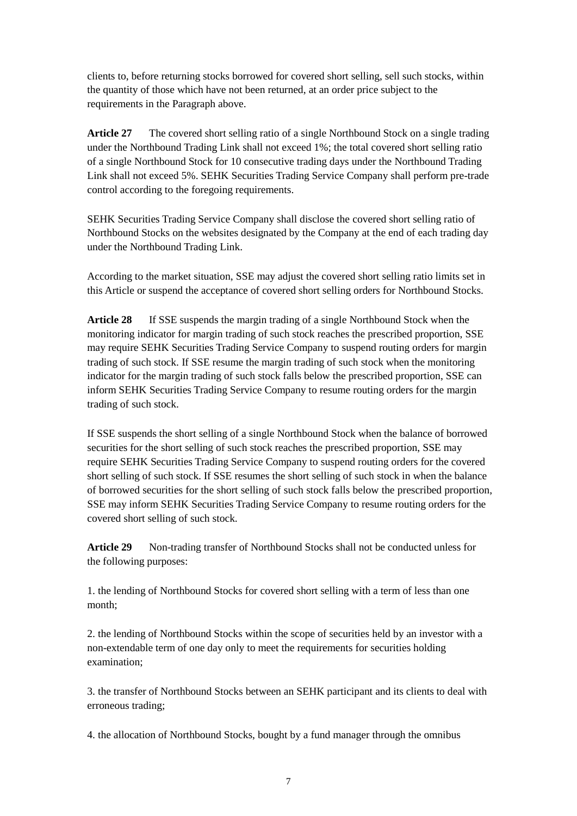clients to, before returning stocks borrowed for covered short selling, sell such stocks, within the quantity of those which have not been returned, at an order price subject to the requirements in the Paragraph above.

**Article 27** The covered short selling ratio of a single Northbound Stock on a single trading under the Northbound Trading Link shall not exceed 1%; the total covered short selling ratio of a single Northbound Stock for 10 consecutive trading days under the Northbound Trading Link shall not exceed 5%. SEHK Securities Trading Service Company shall perform pre-trade control according to the foregoing requirements.

SEHK Securities Trading Service Company shall disclose the covered short selling ratio of Northbound Stocks on the websites designated by the Company at the end of each trading day under the Northbound Trading Link.

According to the market situation, SSE may adjust the covered short selling ratio limits set in this Article or suspend the acceptance of covered short selling orders for Northbound Stocks.

**Article 28** If SSE suspends the margin trading of a single Northbound Stock when the monitoring indicator for margin trading of such stock reaches the prescribed proportion, SSE may require SEHK Securities Trading Service Company to suspend routing orders for margin trading of such stock. If SSE resume the margin trading of such stock when the monitoring indicator for the margin trading of such stock falls below the prescribed proportion, SSE can inform SEHK Securities Trading Service Company to resume routing orders for the margin trading of such stock.

If SSE suspends the short selling of a single Northbound Stock when the balance of borrowed securities for the short selling of such stock reaches the prescribed proportion, SSE may require SEHK Securities Trading Service Company to suspend routing orders for the covered short selling of such stock. If SSE resumes the short selling of such stock in when the balance of borrowed securities for the short selling of such stock falls below the prescribed proportion, SSE may inform SEHK Securities Trading Service Company to resume routing orders for the covered short selling of such stock.

**Article 29** Non-trading transfer of Northbound Stocks shall not be conducted unless for the following purposes:

1. the lending of Northbound Stocks for covered short selling with a term of less than one month;

2. the lending of Northbound Stocks within the scope of securities held by an investor with a non-extendable term of one day only to meet the requirements for securities holding examination;

3. the transfer of Northbound Stocks between an SEHK participant and its clients to deal with erroneous trading;

4. the allocation of Northbound Stocks, bought by a fund manager through the omnibus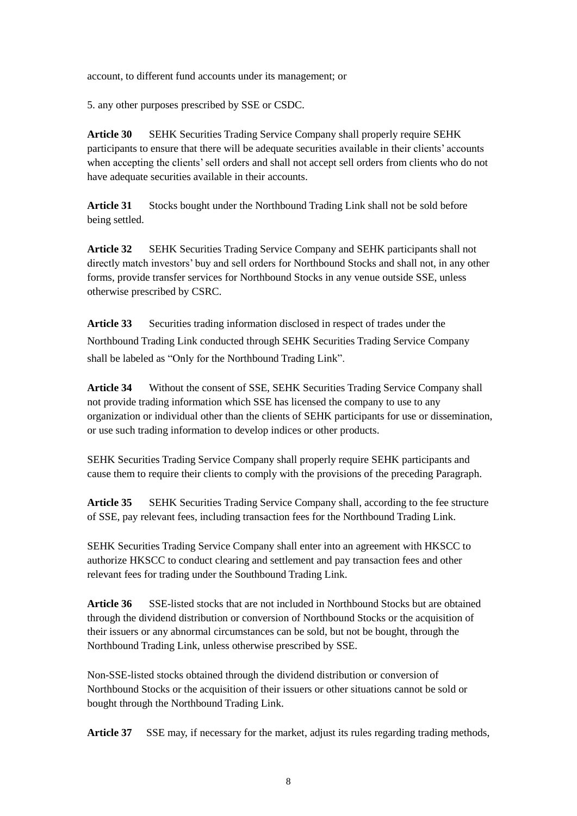account, to different fund accounts under its management; or

5. any other purposes prescribed by SSE or CSDC.

**Article 30** SEHK Securities Trading Service Company shall properly require SEHK participants to ensure that there will be adequate securities available in their clients' accounts when accepting the clients' sell orders and shall not accept sell orders from clients who do not have adequate securities available in their accounts.

**Article 31** Stocks bought under the Northbound Trading Link shall not be sold before being settled.

**Article 32** SEHK Securities Trading Service Company and SEHK participants shall not directly match investors' buy and sell orders for Northbound Stocks and shall not, in any other forms, provide transfer services for Northbound Stocks in any venue outside SSE, unless otherwise prescribed by CSRC.

**Article 33** Securities trading information disclosed in respect of trades under the Northbound Trading Link conducted through SEHK Securities Trading Service Company shall be labeled as "Only for the Northbound Trading Link".

**Article 34** Without the consent of SSE, SEHK Securities Trading Service Company shall not provide trading information which SSE has licensed the company to use to any organization or individual other than the clients of SEHK participants for use or dissemination, or use such trading information to develop indices or other products.

SEHK Securities Trading Service Company shall properly require SEHK participants and cause them to require their clients to comply with the provisions of the preceding Paragraph.

**Article 35** SEHK Securities Trading Service Company shall, according to the fee structure of SSE, pay relevant fees, including transaction fees for the Northbound Trading Link.

SEHK Securities Trading Service Company shall enter into an agreement with HKSCC to authorize HKSCC to conduct clearing and settlement and pay transaction fees and other relevant fees for trading under the Southbound Trading Link.

**Article 36** SSE-listed stocks that are not included in Northbound Stocks but are obtained through the dividend distribution or conversion of Northbound Stocks or the acquisition of their issuers or any abnormal circumstances can be sold, but not be bought, through the Northbound Trading Link, unless otherwise prescribed by SSE.

Non-SSE-listed stocks obtained through the dividend distribution or conversion of Northbound Stocks or the acquisition of their issuers or other situations cannot be sold or bought through the Northbound Trading Link.

Article 37 SSE may, if necessary for the market, adjust its rules regarding trading methods,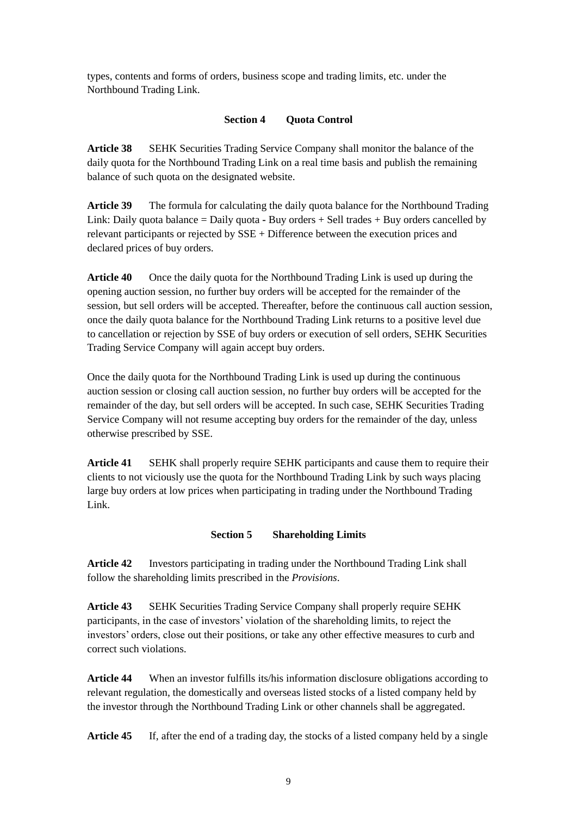types, contents and forms of orders, business scope and trading limits, etc. under the Northbound Trading Link.

### **Section 4 Quota Control**

**Article 38** SEHK Securities Trading Service Company shall monitor the balance of the daily quota for the Northbound Trading Link on a real time basis and publish the remaining balance of such quota on the designated website.

**Article 39** The formula for calculating the daily quota balance for the Northbound Trading Link: Daily quota balance = Daily quota **-** Buy orders + Sell trades + Buy orders cancelled by relevant participants or rejected by SSE + Difference between the execution prices and declared prices of buy orders.

**Article 40** Once the daily quota for the Northbound Trading Link is used up during the opening auction session, no further buy orders will be accepted for the remainder of the session, but sell orders will be accepted. Thereafter, before the continuous call auction session, once the daily quota balance for the Northbound Trading Link returns to a positive level due to cancellation or rejection by SSE of buy orders or execution of sell orders, SEHK Securities Trading Service Company will again accept buy orders.

Once the daily quota for the Northbound Trading Link is used up during the continuous auction session or closing call auction session, no further buy orders will be accepted for the remainder of the day, but sell orders will be accepted. In such case, SEHK Securities Trading Service Company will not resume accepting buy orders for the remainder of the day, unless otherwise prescribed by SSE.

**Article 41** SEHK shall properly require SEHK participants and cause them to require their clients to not viciously use the quota for the Northbound Trading Link by such ways placing large buy orders at low prices when participating in trading under the Northbound Trading Link.

# **Section 5 Shareholding Limits**

**Article 42** Investors participating in trading under the Northbound Trading Link shall follow the shareholding limits prescribed in the *Provisions*.

**Article 43** SEHK Securities Trading Service Company shall properly require SEHK participants, in the case of investors' violation of the shareholding limits, to reject the investors' orders, close out their positions, or take any other effective measures to curb and correct such violations.

**Article 44** When an investor fulfills its/his information disclosure obligations according to relevant regulation, the domestically and overseas listed stocks of a listed company held by the investor through the Northbound Trading Link or other channels shall be aggregated.

**Article 45** If, after the end of a trading day, the stocks of a listed company held by a single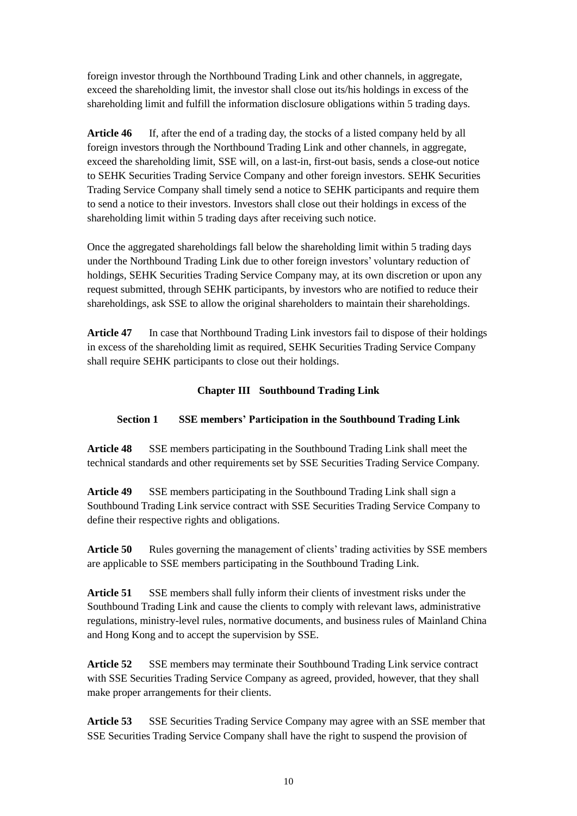foreign investor through the Northbound Trading Link and other channels, in aggregate, exceed the shareholding limit, the investor shall close out its/his holdings in excess of the shareholding limit and fulfill the information disclosure obligations within 5 trading days.

**Article 46** If, after the end of a trading day, the stocks of a listed company held by all foreign investors through the Northbound Trading Link and other channels, in aggregate, exceed the shareholding limit, SSE will, on a last-in, first-out basis, sends a close-out notice to SEHK Securities Trading Service Company and other foreign investors. SEHK Securities Trading Service Company shall timely send a notice to SEHK participants and require them to send a notice to their investors. Investors shall close out their holdings in excess of the shareholding limit within 5 trading days after receiving such notice.

Once the aggregated shareholdings fall below the shareholding limit within 5 trading days under the Northbound Trading Link due to other foreign investors' voluntary reduction of holdings, SEHK Securities Trading Service Company may, at its own discretion or upon any request submitted, through SEHK participants, by investors who are notified to reduce their shareholdings, ask SSE to allow the original shareholders to maintain their shareholdings.

**Article 47** In case that Northbound Trading Link investors fail to dispose of their holdings in excess of the shareholding limit as required, SEHK Securities Trading Service Company shall require SEHK participants to close out their holdings.

#### **Chapter III Southbound Trading Link**

# **Section 1 SSE members' Participation in the Southbound Trading Link**

**Article 48** SSE members participating in the Southbound Trading Link shall meet the technical standards and other requirements set by SSE Securities Trading Service Company.

**Article 49** SSE members participating in the Southbound Trading Link shall sign a Southbound Trading Link service contract with SSE Securities Trading Service Company to define their respective rights and obligations.

Article 50 Rules governing the management of clients' trading activities by SSE members are applicable to SSE members participating in the Southbound Trading Link.

**Article 51** SSE members shall fully inform their clients of investment risks under the Southbound Trading Link and cause the clients to comply with relevant laws, administrative regulations, ministry-level rules, normative documents, and business rules of Mainland China and Hong Kong and to accept the supervision by SSE.

**Article 52** SSE members may terminate their Southbound Trading Link service contract with SSE Securities Trading Service Company as agreed, provided, however, that they shall make proper arrangements for their clients.

**Article 53** SSE Securities Trading Service Company may agree with an SSE member that SSE Securities Trading Service Company shall have the right to suspend the provision of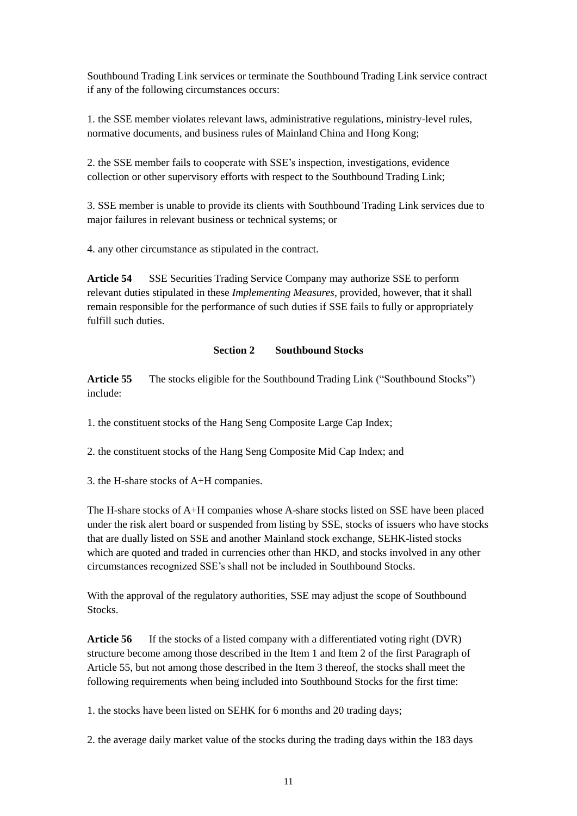Southbound Trading Link services or terminate the Southbound Trading Link service contract if any of the following circumstances occurs:

1. the SSE member violates relevant laws, administrative regulations, ministry-level rules, normative documents, and business rules of Mainland China and Hong Kong;

2. the SSE member fails to cooperate with SSE's inspection, investigations, evidence collection or other supervisory efforts with respect to the Southbound Trading Link;

3. SSE member is unable to provide its clients with Southbound Trading Link services due to major failures in relevant business or technical systems; or

4. any other circumstance as stipulated in the contract.

**Article 54** SSE Securities Trading Service Company may authorize SSE to perform relevant duties stipulated in these *Implementing Measures*, provided, however, that it shall remain responsible for the performance of such duties if SSE fails to fully or appropriately fulfill such duties.

#### **Section 2 Southbound Stocks**

**Article 55** The stocks eligible for the Southbound Trading Link ("Southbound Stocks") include:

1. the constituent stocks of the Hang Seng Composite Large Cap Index;

2. the constituent stocks of the Hang Seng Composite Mid Cap Index; and

3. the H-share stocks of A+H companies.

The H-share stocks of A+H companies whose A-share stocks listed on SSE have been placed under the risk alert board or suspended from listing by SSE, stocks of issuers who have stocks that are dually listed on SSE and another Mainland stock exchange, SEHK-listed stocks which are quoted and traded in currencies other than HKD, and stocks involved in any other circumstances recognized SSE's shall not be included in Southbound Stocks.

With the approval of the regulatory authorities, SSE may adjust the scope of Southbound Stocks.

**Article 56** If the stocks of a listed company with a differentiated voting right (DVR) structure become among those described in the Item 1 and Item 2 of the first Paragraph of Article 55, but not among those described in the Item 3 thereof, the stocks shall meet the following requirements when being included into Southbound Stocks for the first time:

1. the stocks have been listed on SEHK for 6 months and 20 trading days;

2. the average daily market value of the stocks during the trading days within the 183 days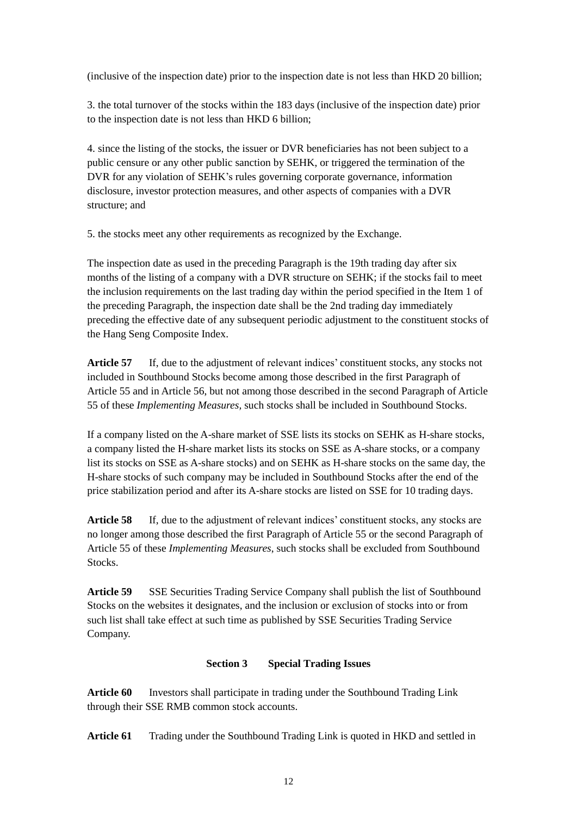(inclusive of the inspection date) prior to the inspection date is not less than HKD 20 billion;

3. the total turnover of the stocks within the 183 days (inclusive of the inspection date) prior to the inspection date is not less than HKD 6 billion;

4. since the listing of the stocks, the issuer or DVR beneficiaries has not been subject to a public censure or any other public sanction by SEHK, or triggered the termination of the DVR for any violation of SEHK's rules governing corporate governance, information disclosure, investor protection measures, and other aspects of companies with a DVR structure; and

5. the stocks meet any other requirements as recognized by the Exchange.

The inspection date as used in the preceding Paragraph is the 19th trading day after six months of the listing of a company with a DVR structure on SEHK; if the stocks fail to meet the inclusion requirements on the last trading day within the period specified in the Item 1 of the preceding Paragraph, the inspection date shall be the 2nd trading day immediately preceding the effective date of any subsequent periodic adjustment to the constituent stocks of the Hang Seng Composite Index.

**Article 57** If, due to the adjustment of relevant indices' constituent stocks, any stocks not included in Southbound Stocks become among those described in the first Paragraph of Article 55 and in Article 56, but not among those described in the second Paragraph of Article 55 of these *Implementing Measures,* such stocks shall be included in Southbound Stocks.

If a company listed on the A-share market of SSE lists its stocks on SEHK as H-share stocks, a company listed the H-share market lists its stocks on SSE as A-share stocks, or a company list its stocks on SSE as A-share stocks) and on SEHK as H-share stocks on the same day, the H-share stocks of such company may be included in Southbound Stocks after the end of the price stabilization period and after its A-share stocks are listed on SSE for 10 trading days.

Article 58 If, due to the adjustment of relevant indices' constituent stocks, any stocks are no longer among those described the first Paragraph of Article 55 or the second Paragraph of Article 55 of these *Implementing Measures*, such stocks shall be excluded from Southbound Stocks.

**Article 59** SSE Securities Trading Service Company shall publish the list of Southbound Stocks on the websites it designates, and the inclusion or exclusion of stocks into or from such list shall take effect at such time as published by SSE Securities Trading Service Company.

# **Section 3 Special Trading Issues**

**Article 60** Investors shall participate in trading under the Southbound Trading Link through their SSE RMB common stock accounts.

**Article 61** Trading under the Southbound Trading Link is quoted in HKD and settled in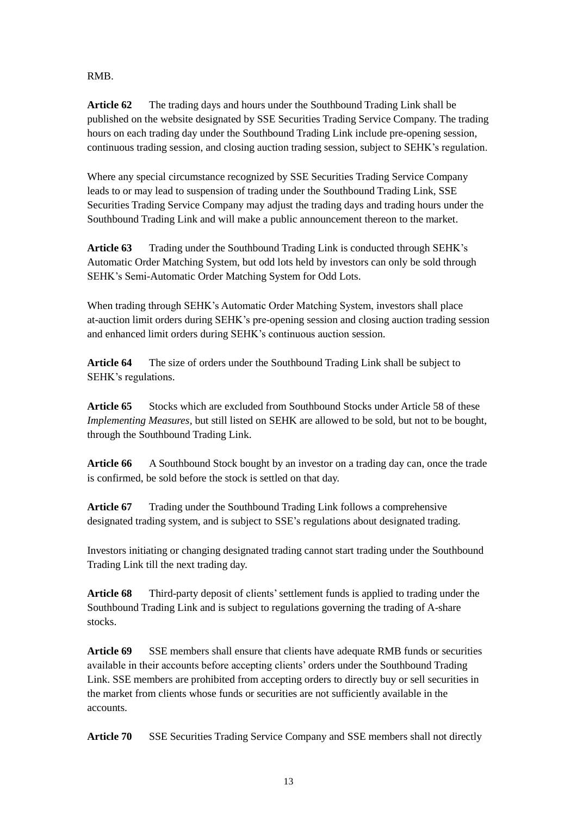# RMB.

**Article 62** The trading days and hours under the Southbound Trading Link shall be published on the website designated by SSE Securities Trading Service Company. The trading hours on each trading day under the Southbound Trading Link include pre-opening session, continuous trading session, and closing auction trading session, subject to SEHK's regulation.

Where any special circumstance recognized by SSE Securities Trading Service Company leads to or may lead to suspension of trading under the Southbound Trading Link, SSE Securities Trading Service Company may adjust the trading days and trading hours under the Southbound Trading Link and will make a public announcement thereon to the market.

**Article 63** Trading under the Southbound Trading Link is conducted through SEHK's Automatic Order Matching System, but odd lots held by investors can only be sold through SEHK's Semi-Automatic Order Matching System for Odd Lots.

When trading through SEHK's Automatic Order Matching System, investors shall place at-auction limit orders during SEHK's pre-opening session and closing auction trading session and enhanced limit orders during SEHK's continuous auction session.

**Article 64** The size of orders under the Southbound Trading Link shall be subject to SEHK's regulations.

**Article 65** Stocks which are excluded from Southbound Stocks under Article 58 of these *Implementing Measures,* but still listed on SEHK are allowed to be sold, but not to be bought, through the Southbound Trading Link.

**Article 66** A Southbound Stock bought by an investor on a trading day can, once the trade is confirmed, be sold before the stock is settled on that day.

**Article 67** Trading under the Southbound Trading Link follows a comprehensive designated trading system, and is subject to SSE's regulations about designated trading.

Investors initiating or changing designated trading cannot start trading under the Southbound Trading Link till the next trading day.

**Article 68** Third-party deposit of clients' settlement funds is applied to trading under the Southbound Trading Link and is subject to regulations governing the trading of A-share stocks.

**Article 69** SSE members shall ensure that clients have adequate RMB funds or securities available in their accounts before accepting clients' orders under the Southbound Trading Link. SSE members are prohibited from accepting orders to directly buy or sell securities in the market from clients whose funds or securities are not sufficiently available in the accounts.

**Article 70** SSE Securities Trading Service Company and SSE members shall not directly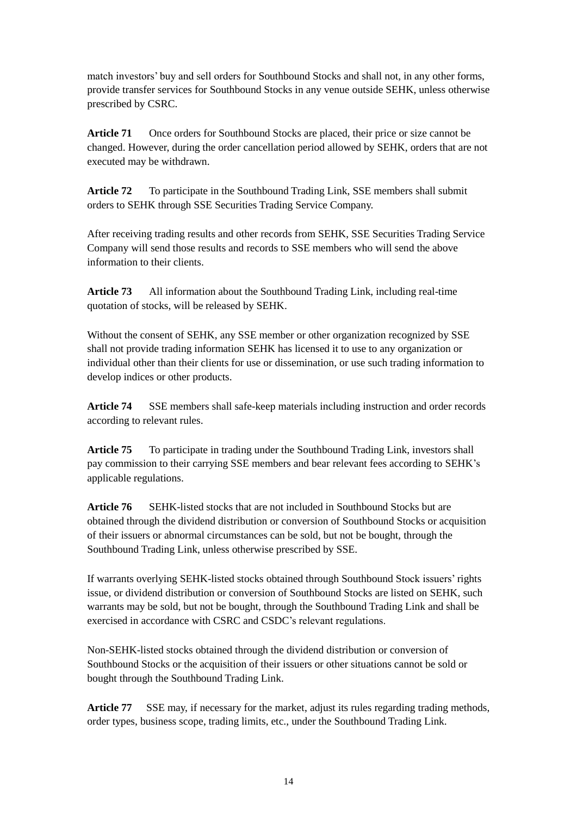match investors' buy and sell orders for Southbound Stocks and shall not, in any other forms, provide transfer services for Southbound Stocks in any venue outside SEHK, unless otherwise prescribed by CSRC.

**Article 71** Once orders for Southbound Stocks are placed, their price or size cannot be changed. However, during the order cancellation period allowed by SEHK, orders that are not executed may be withdrawn.

**Article 72** To participate in the Southbound Trading Link, SSE members shall submit orders to SEHK through SSE Securities Trading Service Company.

After receiving trading results and other records from SEHK, SSE Securities Trading Service Company will send those results and records to SSE members who will send the above information to their clients.

**Article 73** All information about the Southbound Trading Link, including real-time quotation of stocks, will be released by SEHK.

Without the consent of SEHK, any SSE member or other organization recognized by SSE shall not provide trading information SEHK has licensed it to use to any organization or individual other than their clients for use or dissemination, or use such trading information to develop indices or other products.

**Article 74** SSE members shall safe-keep materials including instruction and order records according to relevant rules.

Article 75 To participate in trading under the Southbound Trading Link, investors shall pay commission to their carrying SSE members and bear relevant fees according to SEHK's applicable regulations.

**Article 76** SEHK-listed stocks that are not included in Southbound Stocks but are obtained through the dividend distribution or conversion of Southbound Stocks or acquisition of their issuers or abnormal circumstances can be sold, but not be bought, through the Southbound Trading Link, unless otherwise prescribed by SSE.

If warrants overlying SEHK-listed stocks obtained through Southbound Stock issuers' rights issue, or dividend distribution or conversion of Southbound Stocks are listed on SEHK, such warrants may be sold, but not be bought, through the Southbound Trading Link and shall be exercised in accordance with CSRC and CSDC's relevant regulations.

Non-SEHK-listed stocks obtained through the dividend distribution or conversion of Southbound Stocks or the acquisition of their issuers or other situations cannot be sold or bought through the Southbound Trading Link.

**Article 77** SSE may, if necessary for the market, adjust its rules regarding trading methods, order types, business scope, trading limits, etc., under the Southbound Trading Link.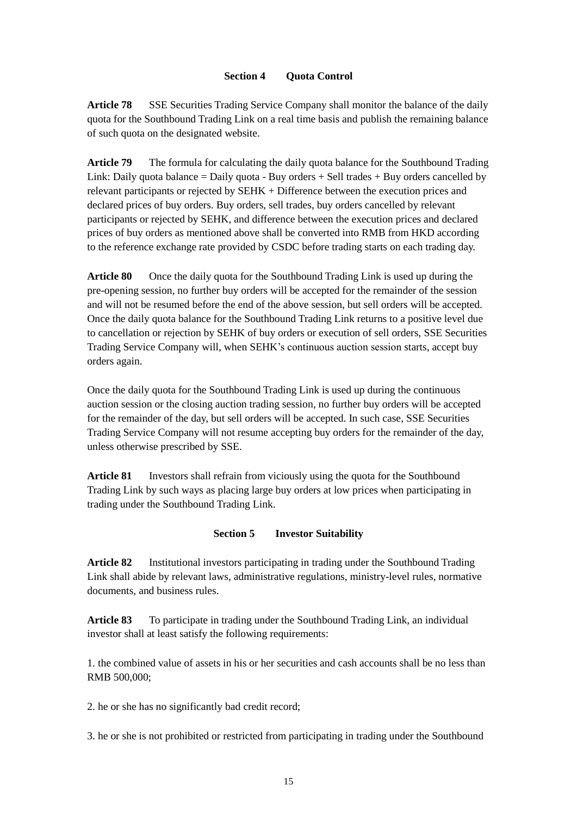#### **Section 4 Quota Control**

**Article 78** SSE Securities Trading Service Company shall monitor the balance of the daily quota for the Southbound Trading Link on a real time basis and publish the remaining balance of such quota on the designated website.

**Article 79** The formula for calculating the daily quota balance for the Southbound Trading Link: Daily quota balance  $=$  Daily quota - Buy orders  $+$  Sell trades  $+$  Buy orders cancelled by relevant participants or rejected by SEHK + Difference between the execution prices and declared prices of buy orders. Buy orders, sell trades, buy orders cancelled by relevant participants or rejected by SEHK, and difference between the execution prices and declared prices of buy orders as mentioned above shall be converted into RMB from HKD according to the reference exchange rate provided by CSDC before trading starts on each trading day.

**Article 80** Once the daily quota for the Southbound Trading Link is used up during the pre-opening session, no further buy orders will be accepted for the remainder of the session and will not be resumed before the end of the above session, but sell orders will be accepted. Once the daily quota balance for the Southbound Trading Link returns to a positive level due to cancellation or rejection by SEHK of buy orders or execution of sell orders, SSE Securities Trading Service Company will, when SEHK's continuous auction session starts, accept buy orders again.

Once the daily quota for the Southbound Trading Link is used up during the continuous auction session or the closing auction trading session, no further buy orders will be accepted for the remainder of the day, but sell orders will be accepted. In such case, SSE Securities Trading Service Company will not resume accepting buy orders for the remainder of the day, unless otherwise prescribed by SSE.

**Article 81** Investors shall refrain from viciously using the quota for the Southbound Trading Link by such ways as placing large buy orders at low prices when participating in trading under the Southbound Trading Link.

# **Section 5 Investor Suitability**

**Article 82** Institutional investors participating in trading under the Southbound Trading Link shall abide by relevant laws, administrative regulations, ministry-level rules, normative documents, and business rules.

**Article 83** To participate in trading under the Southbound Trading Link, an individual investor shall at least satisfy the following requirements:

1. the combined value of assets in his or her securities and cash accounts shall be no less than RMB 500,000;

2. he or she has no significantly bad credit record;

3. he or she is not prohibited or restricted from participating in trading under the Southbound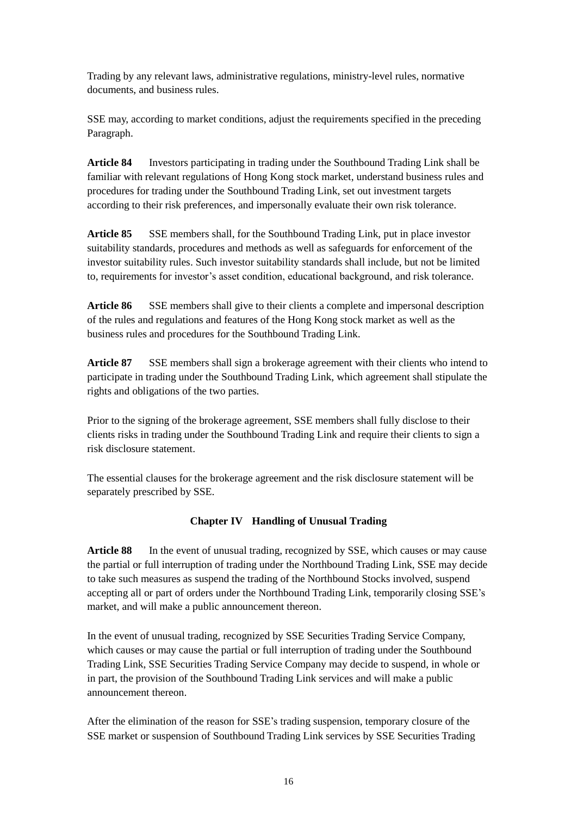Trading by any relevant laws, administrative regulations, ministry-level rules, normative documents, and business rules.

SSE may, according to market conditions, adjust the requirements specified in the preceding Paragraph.

**Article 84** Investors participating in trading under the Southbound Trading Link shall be familiar with relevant regulations of Hong Kong stock market, understand business rules and procedures for trading under the Southbound Trading Link, set out investment targets according to their risk preferences, and impersonally evaluate their own risk tolerance.

**Article 85** SSE members shall, for the Southbound Trading Link, put in place investor suitability standards, procedures and methods as well as safeguards for enforcement of the investor suitability rules. Such investor suitability standards shall include, but not be limited to, requirements for investor's asset condition, educational background, and risk tolerance.

**Article 86** SSE members shall give to their clients a complete and impersonal description of the rules and regulations and features of the Hong Kong stock market as well as the business rules and procedures for the Southbound Trading Link.

**Article 87** SSE members shall sign a brokerage agreement with their clients who intend to participate in trading under the Southbound Trading Link, which agreement shall stipulate the rights and obligations of the two parties.

Prior to the signing of the brokerage agreement, SSE members shall fully disclose to their clients risks in trading under the Southbound Trading Link and require their clients to sign a risk disclosure statement.

The essential clauses for the brokerage agreement and the risk disclosure statement will be separately prescribed by SSE.

# **Chapter IV Handling of Unusual Trading**

Article 88 In the event of unusual trading, recognized by SSE, which causes or may cause the partial or full interruption of trading under the Northbound Trading Link, SSE may decide to take such measures as suspend the trading of the Northbound Stocks involved, suspend accepting all or part of orders under the Northbound Trading Link, temporarily closing SSE's market, and will make a public announcement thereon.

In the event of unusual trading, recognized by SSE Securities Trading Service Company, which causes or may cause the partial or full interruption of trading under the Southbound Trading Link, SSE Securities Trading Service Company may decide to suspend, in whole or in part, the provision of the Southbound Trading Link services and will make a public announcement thereon.

After the elimination of the reason for SSE's trading suspension, temporary closure of the SSE market or suspension of Southbound Trading Link services by SSE Securities Trading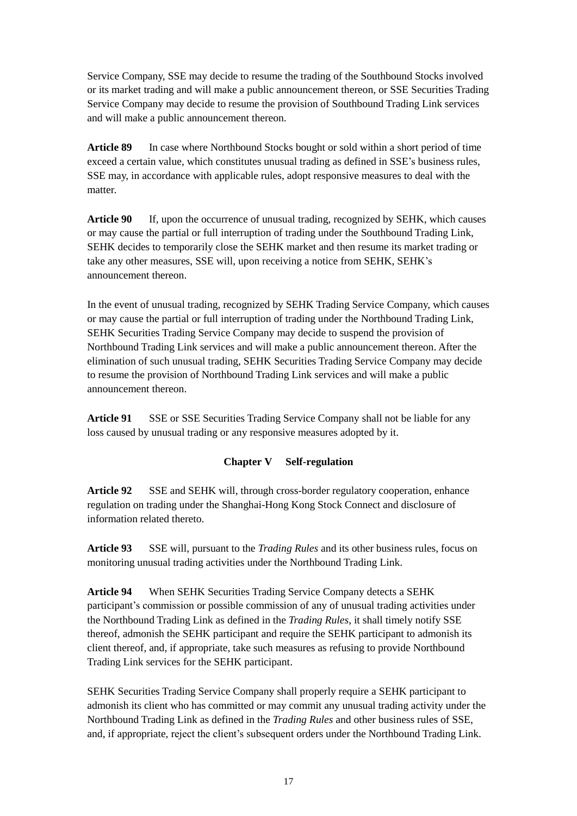Service Company, SSE may decide to resume the trading of the Southbound Stocks involved or its market trading and will make a public announcement thereon, or SSE Securities Trading Service Company may decide to resume the provision of Southbound Trading Link services and will make a public announcement thereon.

**Article 89** In case where Northbound Stocks bought or sold within a short period of time exceed a certain value, which constitutes unusual trading as defined in SSE's business rules, SSE may, in accordance with applicable rules, adopt responsive measures to deal with the matter.

**Article 90** If, upon the occurrence of unusual trading, recognized by SEHK, which causes or may cause the partial or full interruption of trading under the Southbound Trading Link, SEHK decides to temporarily close the SEHK market and then resume its market trading or take any other measures, SSE will, upon receiving a notice from SEHK, SEHK's announcement thereon.

In the event of unusual trading, recognized by SEHK Trading Service Company, which causes or may cause the partial or full interruption of trading under the Northbound Trading Link, SEHK Securities Trading Service Company may decide to suspend the provision of Northbound Trading Link services and will make a public announcement thereon. After the elimination of such unusual trading, SEHK Securities Trading Service Company may decide to resume the provision of Northbound Trading Link services and will make a public announcement thereon.

**Article 91** SSE or SSE Securities Trading Service Company shall not be liable for any loss caused by unusual trading or any responsive measures adopted by it.

# **Chapter V Self-regulation**

**Article 92** SSE and SEHK will, through cross-border regulatory cooperation, enhance regulation on trading under the Shanghai-Hong Kong Stock Connect and disclosure of information related thereto.

**Article 93** SSE will, pursuant to the *Trading Rules* and its other business rules, focus on monitoring unusual trading activities under the Northbound Trading Link.

**Article 94** When SEHK Securities Trading Service Company detects a SEHK participant's commission or possible commission of any of unusual trading activities under the Northbound Trading Link as defined in the *Trading Rules*, it shall timely notify SSE thereof, admonish the SEHK participant and require the SEHK participant to admonish its client thereof, and, if appropriate, take such measures as refusing to provide Northbound Trading Link services for the SEHK participant.

SEHK Securities Trading Service Company shall properly require a SEHK participant to admonish its client who has committed or may commit any unusual trading activity under the Northbound Trading Link as defined in the *Trading Rules* and other business rules of SSE, and, if appropriate, reject the client's subsequent orders under the Northbound Trading Link.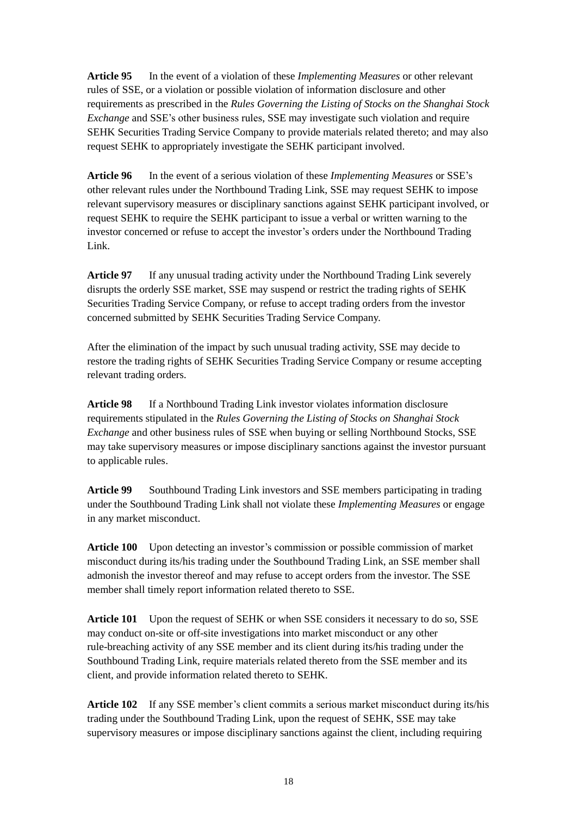**Article 95** In the event of a violation of these *Implementing Measures* or other relevant rules of SSE, or a violation or possible violation of information disclosure and other requirements as prescribed in the *Rules Governing the Listing of Stocks on the Shanghai Stock Exchange* and SSE's other business rules, SSE may investigate such violation and require SEHK Securities Trading Service Company to provide materials related thereto; and may also request SEHK to appropriately investigate the SEHK participant involved.

**Article 96** In the event of a serious violation of these *Implementing Measures* or SSE's other relevant rules under the Northbound Trading Link, SSE may request SEHK to impose relevant supervisory measures or disciplinary sanctions against SEHK participant involved, or request SEHK to require the SEHK participant to issue a verbal or written warning to the investor concerned or refuse to accept the investor's orders under the Northbound Trading Link.

**Article 97** If any unusual trading activity under the Northbound Trading Link severely disrupts the orderly SSE market, SSE may suspend or restrict the trading rights of SEHK Securities Trading Service Company, or refuse to accept trading orders from the investor concerned submitted by SEHK Securities Trading Service Company.

After the elimination of the impact by such unusual trading activity, SSE may decide to restore the trading rights of SEHK Securities Trading Service Company or resume accepting relevant trading orders.

**Article 98** If a Northbound Trading Link investor violates information disclosure requirements stipulated in the *Rules Governing the Listing of Stocks on Shanghai Stock Exchange* and other business rules of SSE when buying or selling Northbound Stocks, SSE may take supervisory measures or impose disciplinary sanctions against the investor pursuant to applicable rules.

**Article 99** Southbound Trading Link investors and SSE members participating in trading under the Southbound Trading Link shall not violate these *Implementing Measures* or engage in any market misconduct.

**Article 100** Upon detecting an investor's commission or possible commission of market misconduct during its/his trading under the Southbound Trading Link, an SSE member shall admonish the investor thereof and may refuse to accept orders from the investor. The SSE member shall timely report information related thereto to SSE.

**Article 101** Upon the request of SEHK or when SSE considers it necessary to do so, SSE may conduct on-site or off-site investigations into market misconduct or any other rule-breaching activity of any SSE member and its client during its/his trading under the Southbound Trading Link, require materials related thereto from the SSE member and its client, and provide information related thereto to SEHK.

**Article 102** If any SSE member's client commits a serious market misconduct during its/his trading under the Southbound Trading Link, upon the request of SEHK, SSE may take supervisory measures or impose disciplinary sanctions against the client, including requiring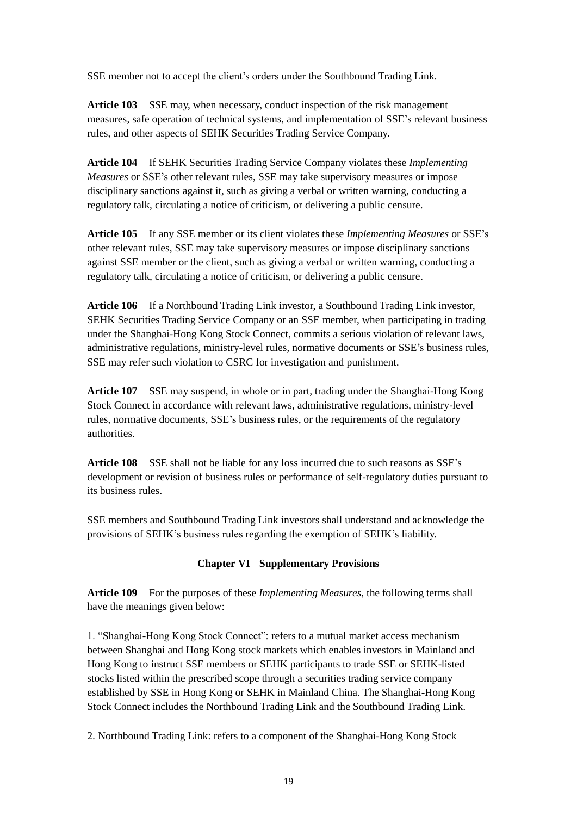SSE member not to accept the client's orders under the Southbound Trading Link.

**Article 103** SSE may, when necessary, conduct inspection of the risk management measures, safe operation of technical systems, and implementation of SSE's relevant business rules, and other aspects of SEHK Securities Trading Service Company.

**Article 104** If SEHK Securities Trading Service Company violates these *Implementing Measures* or SSE's other relevant rules, SSE may take supervisory measures or impose disciplinary sanctions against it, such as giving a verbal or written warning, conducting a regulatory talk, circulating a notice of criticism, or delivering a public censure.

**Article 105** If any SSE member or its client violates these *Implementing Measures* or SSE's other relevant rules, SSE may take supervisory measures or impose disciplinary sanctions against SSE member or the client, such as giving a verbal or written warning, conducting a regulatory talk, circulating a notice of criticism, or delivering a public censure.

**Article 106** If a Northbound Trading Link investor, a Southbound Trading Link investor, SEHK Securities Trading Service Company or an SSE member, when participating in trading under the Shanghai-Hong Kong Stock Connect, commits a serious violation of relevant laws, administrative regulations, ministry-level rules, normative documents or SSE's business rules, SSE may refer such violation to CSRC for investigation and punishment.

**Article 107** SSE may suspend, in whole or in part, trading under the Shanghai-Hong Kong Stock Connect in accordance with relevant laws, administrative regulations, ministry-level rules, normative documents, SSE's business rules, or the requirements of the regulatory authorities.

**Article 108** SSE shall not be liable for any loss incurred due to such reasons as SSE's development or revision of business rules or performance of self-regulatory duties pursuant to its business rules.

SSE members and Southbound Trading Link investors shall understand and acknowledge the provisions of SEHK's business rules regarding the exemption of SEHK's liability.

# **Chapter VI Supplementary Provisions**

**Article 109** For the purposes of these *Implementing Measures*, the following terms shall have the meanings given below:

1. "Shanghai-Hong Kong Stock Connect": refers to a mutual market access mechanism between Shanghai and Hong Kong stock markets which enables investors in Mainland and Hong Kong to instruct SSE members or SEHK participants to trade SSE or SEHK-listed stocks listed within the prescribed scope through a securities trading service company established by SSE in Hong Kong or SEHK in Mainland China. The Shanghai-Hong Kong Stock Connect includes the Northbound Trading Link and the Southbound Trading Link.

2. Northbound Trading Link: refers to a component of the Shanghai-Hong Kong Stock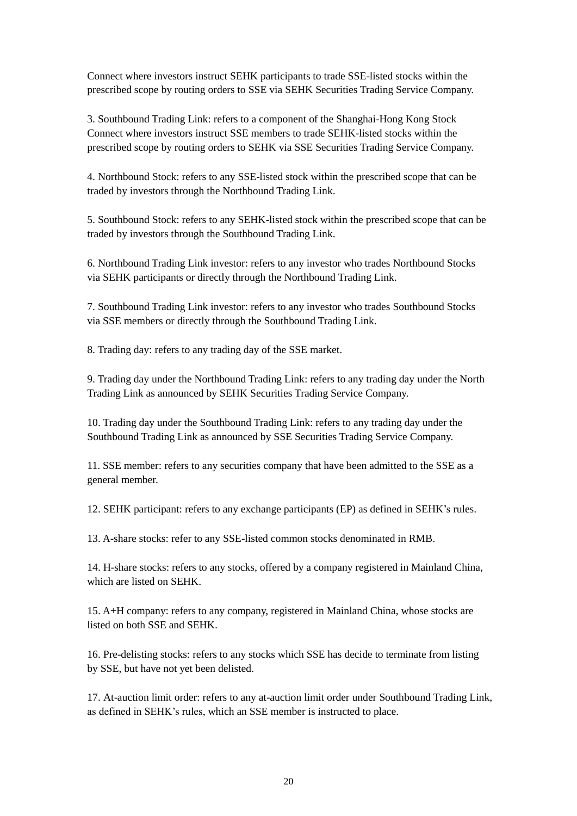Connect where investors instruct SEHK participants to trade SSE-listed stocks within the prescribed scope by routing orders to SSE via SEHK Securities Trading Service Company.

3. Southbound Trading Link: refers to a component of the Shanghai-Hong Kong Stock Connect where investors instruct SSE members to trade SEHK-listed stocks within the prescribed scope by routing orders to SEHK via SSE Securities Trading Service Company.

4. Northbound Stock: refers to any SSE-listed stock within the prescribed scope that can be traded by investors through the Northbound Trading Link.

5. Southbound Stock: refers to any SEHK-listed stock within the prescribed scope that can be traded by investors through the Southbound Trading Link.

6. Northbound Trading Link investor: refers to any investor who trades Northbound Stocks via SEHK participants or directly through the Northbound Trading Link.

7. Southbound Trading Link investor: refers to any investor who trades Southbound Stocks via SSE members or directly through the Southbound Trading Link.

8. Trading day: refers to any trading day of the SSE market.

9. Trading day under the Northbound Trading Link: refers to any trading day under the North Trading Link as announced by SEHK Securities Trading Service Company.

10. Trading day under the Southbound Trading Link: refers to any trading day under the Southbound Trading Link as announced by SSE Securities Trading Service Company.

11. SSE member: refers to any securities company that have been admitted to the SSE as a general member.

12. SEHK participant: refers to any exchange participants (EP) as defined in SEHK's rules.

13. A-share stocks: refer to any SSE-listed common stocks denominated in RMB.

14. H-share stocks: refers to any stocks, offered by a company registered in Mainland China, which are listed on SEHK.

15. A+H company: refers to any company, registered in Mainland China, whose stocks are listed on both SSE and SEHK.

16. Pre-delisting stocks: refers to any stocks which SSE has decide to terminate from listing by SSE, but have not yet been delisted.

17. At-auction limit order: refers to any at-auction limit order under Southbound Trading Link, as defined in SEHK's rules, which an SSE member is instructed to place.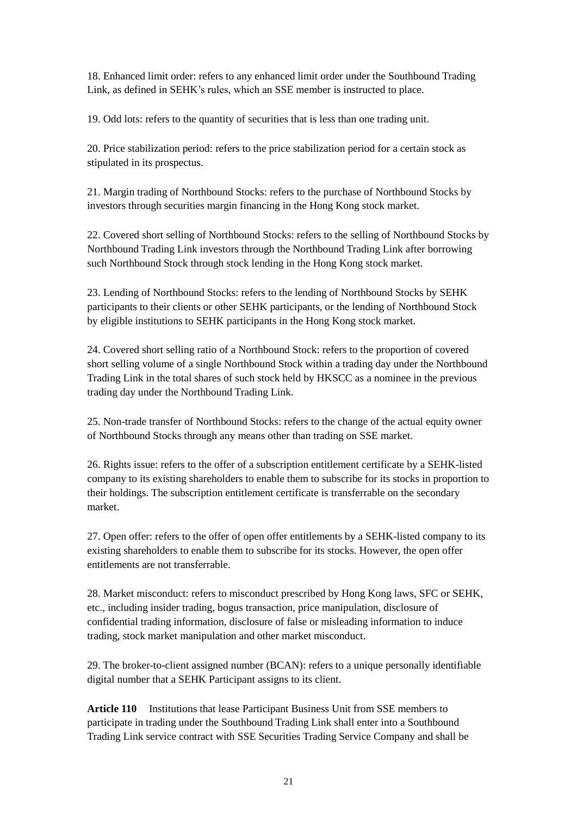18. Enhanced limit order: refers to any enhanced limit order under the Southbound Trading Link, as defined in SEHK's rules, which an SSE member is instructed to place.

19. Odd lots: refers to the quantity of securities that is less than one trading unit.

20. Price stabilization period: refers to the price stabilization period for a certain stock as stipulated in its prospectus.

21. Margin trading of Northbound Stocks: refers to the purchase of Northbound Stocks by investors through securities margin financing in the Hong Kong stock market.

22. Covered short selling of Northbound Stocks: refers to the selling of Northbound Stocks by Northbound Trading Link investors through the Northbound Trading Link after borrowing such Northbound Stock through stock lending in the Hong Kong stock market.

23. Lending of Northbound Stocks: refers to the lending of Northbound Stocks by SEHK participants to their clients or other SEHK participants, or the lending of Northbound Stock by eligible institutions to SEHK participants in the Hong Kong stock market.

24. Covered short selling ratio of a Northbound Stock: refers to the proportion of covered short selling volume of a single Northbound Stock within a trading day under the Northbound Trading Link in the total shares of such stock held by HKSCC as a nominee in the previous trading day under the Northbound Trading Link.

25. Non-trade transfer of Northbound Stocks: refers to the change of the actual equity owner of Northbound Stocks through any means other than trading on SSE market.

26. Rights issue: refers to the offer of a subscription entitlement certificate by a SEHK-listed company to its existing shareholders to enable them to subscribe for its stocks in proportion to their holdings. The subscription entitlement certificate is transferrable on the secondary market.

27. Open offer: refers to the offer of open offer entitlements by a SEHK-listed company to its existing shareholders to enable them to subscribe for its stocks. However, the open offer entitlements are not transferrable.

28. Market misconduct: refers to misconduct prescribed by Hong Kong laws, SFC or SEHK, etc., including insider trading, bogus transaction, price manipulation, disclosure of confidential trading information, disclosure of false or misleading information to induce trading, stock market manipulation and other market misconduct.

29. The broker-to-client assigned number (BCAN): refers to a unique personally identifiable digital number that a SEHK Participant assigns to its client.

**Article 110** Institutions that lease Participant Business Unit from SSE members to participate in trading under the Southbound Trading Link shall enter into a Southbound Trading Link service contract with SSE Securities Trading Service Company and shall be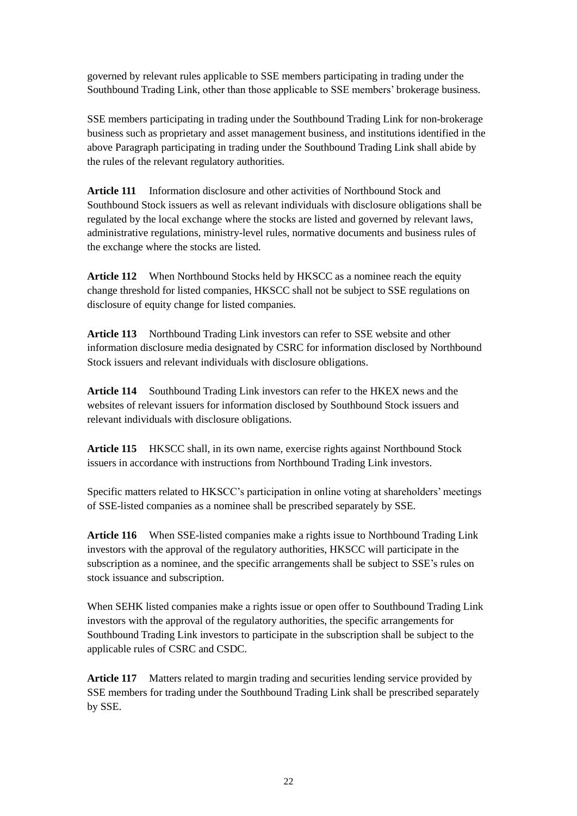governed by relevant rules applicable to SSE members participating in trading under the Southbound Trading Link, other than those applicable to SSE members' brokerage business.

SSE members participating in trading under the Southbound Trading Link for non-brokerage business such as proprietary and asset management business, and institutions identified in the above Paragraph participating in trading under the Southbound Trading Link shall abide by the rules of the relevant regulatory authorities.

**Article 111** Information disclosure and other activities of Northbound Stock and Southbound Stock issuers as well as relevant individuals with disclosure obligations shall be regulated by the local exchange where the stocks are listed and governed by relevant laws, administrative regulations, ministry-level rules, normative documents and business rules of the exchange where the stocks are listed.

**Article 112** When Northbound Stocks held by HKSCC as a nominee reach the equity change threshold for listed companies, HKSCC shall not be subject to SSE regulations on disclosure of equity change for listed companies.

**Article 113** Northbound Trading Link investors can refer to SSE website and other information disclosure media designated by CSRC for information disclosed by Northbound Stock issuers and relevant individuals with disclosure obligations.

**Article 114** Southbound Trading Link investors can refer to the HKEX news and the websites of relevant issuers for information disclosed by Southbound Stock issuers and relevant individuals with disclosure obligations.

**Article 115** HKSCC shall, in its own name, exercise rights against Northbound Stock issuers in accordance with instructions from Northbound Trading Link investors.

Specific matters related to HKSCC's participation in online voting at shareholders' meetings of SSE-listed companies as a nominee shall be prescribed separately by SSE.

**Article 116** When SSE-listed companies make a rights issue to Northbound Trading Link investors with the approval of the regulatory authorities, HKSCC will participate in the subscription as a nominee, and the specific arrangements shall be subject to SSE's rules on stock issuance and subscription.

When SEHK listed companies make a rights issue or open offer to Southbound Trading Link investors with the approval of the regulatory authorities, the specific arrangements for Southbound Trading Link investors to participate in the subscription shall be subject to the applicable rules of CSRC and CSDC.

**Article 117** Matters related to margin trading and securities lending service provided by SSE members for trading under the Southbound Trading Link shall be prescribed separately by SSE.